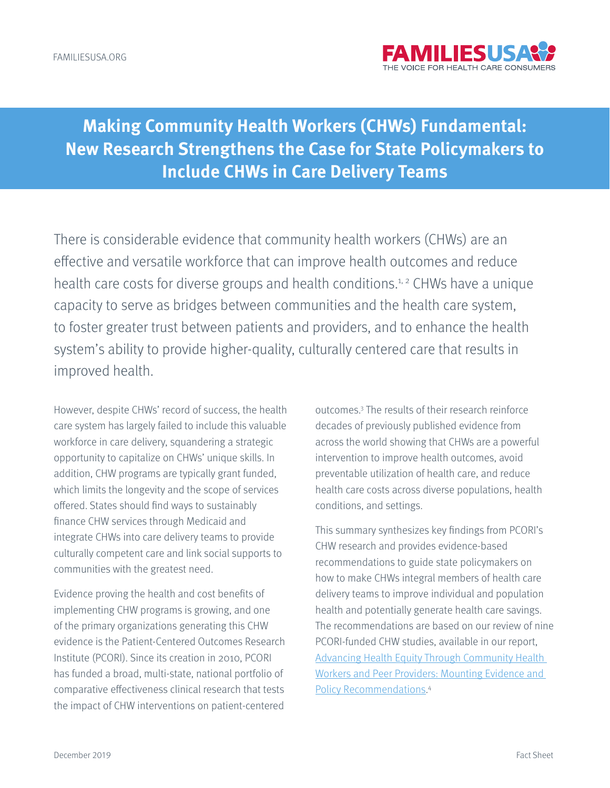

# **Making Community Health Workers (CHWs) Fundamental: New Research Strengthens the Case for State Policymakers to Include CHWs in Care Delivery Teams**

There is considerable evidence that community health workers (CHWs) are an effective and versatile workforce that can improve health outcomes and reduce health care costs for diverse groups and health conditions.<sup>1, 2</sup> CHWs have a unique capacity to serve as bridges between communities and the health care system, to foster greater trust between patients and providers, and to enhance the health system's ability to provide higher-quality, culturally centered care that results in improved health.

However, despite CHWs' record of success, the health care system has largely failed to include this valuable workforce in care delivery, squandering a strategic opportunity to capitalize on CHWs' unique skills. In addition, CHW programs are typically grant funded, which limits the longevity and the scope of services offered. States should find ways to sustainably finance CHW services through Medicaid and integrate CHWs into care delivery teams to provide culturally competent care and link social supports to communities with the greatest need.

Evidence proving the health and cost benefits of implementing CHW programs is growing, and one of the primary organizations generating this CHW evidence is the Patient-Centered Outcomes Research Institute (PCORI). Since its creation in 2010, PCORI has funded a broad, multi-state, national portfolio of comparative effectiveness clinical research that tests the impact of CHW interventions on patient-centered

outcomes.3 The results of their research reinforce decades of previously published evidence from across the world showing that CHWs are a powerful intervention to improve health outcomes, avoid preventable utilization of health care, and reduce health care costs across diverse populations, health conditions, and settings.

This summary synthesizes key findings from PCORI's CHW research and provides evidence-based recommendations to guide state policymakers on how to make CHWs integral members of health care delivery teams to improve individual and population health and potentially generate health care savings. The recommendations are based on our review of nine PCORI-funded CHW studies, available in our report, Advancing Health Equity Through Community Health Workers and Peer Providers: Mounting Evidence and Policy Recommendations. 4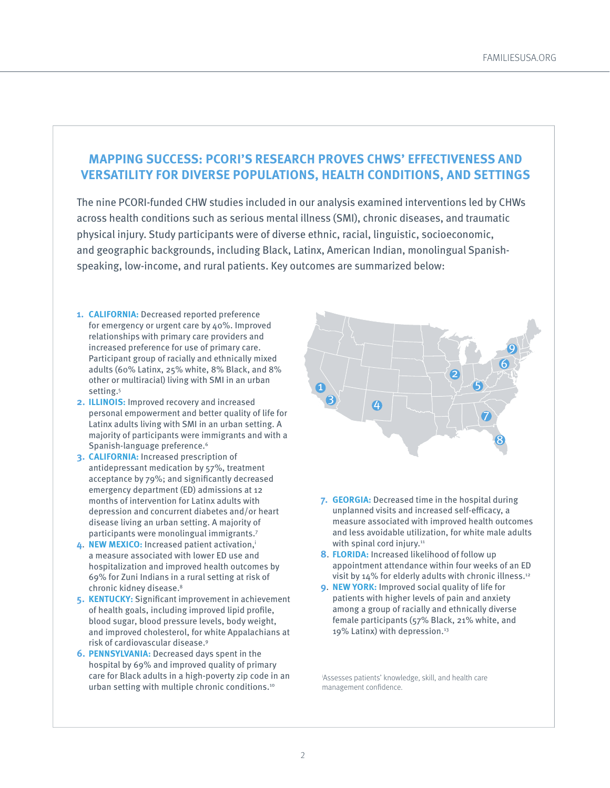#### **MAPPING SUCCESS: PCORI'S RESEARCH PROVES CHWS' EFFECTIVENESS AND VERSATILITY FOR DIVERSE POPULATIONS, HEALTH CONDITIONS, AND SETTINGS**

The nine PCORI-funded CHW studies included in our analysis examined interventions led by CHWs across health conditions such as serious mental illness (SMI), chronic diseases, and traumatic physical injury. Study participants were of diverse ethnic, racial, linguistic, socioeconomic, and geographic backgrounds, including Black, Latinx, American Indian, monolingual Spanishspeaking, low-income, and rural patients. Key outcomes are summarized below:

- **1. CALIFORNIA:** Decreased reported preference for emergency or urgent care by 40%. Improved relationships with primary care providers and increased preference for use of primary care. Participant group of racially and ethnically mixed adults (60% Latinx, 25% white, 8% Black, and 8% other or multiracial) living with SMI in an urban setting.<sup>5</sup>
- **2. ILLINOIS:** Improved recovery and increased personal empowerment and better quality of life for Latinx adults living with SMI in an urban setting. A majority of participants were immigrants and with a Spanish-language preference.<sup>6</sup>
- **3. CALIFORNIA:** Increased prescription of antidepressant medication by 57%, treatment acceptance by 79%; and significantly decreased emergency department (ED) admissions at 12 months of intervention for Latinx adults with depression and concurrent diabetes and/or heart disease living an urban setting. A majority of participants were monolingual immigrants.7
- **4**. **NEW MEXICO:** Increased patient activation,i a measure associated with lower ED use and hospitalization and improved health outcomes by 69% for Zuni Indians in a rural setting at risk of chronic kidney disease.<sup>8</sup>
- **5. KENTUCKY:** Significant improvement in achievement of health goals, including improved lipid profile, blood sugar, blood pressure levels, body weight, and improved cholesterol, for white Appalachians at risk of cardiovascular disease.9
- **6. PENNSYLVANIA:** Decreased days spent in the hospital by 69% and improved quality of primary care for Black adults in a high-poverty zip code in an urban setting with multiple chronic conditions.10



- **7. GEORGIA:** Decreased time in the hospital during unplanned visits and increased self-efficacy, a measure associated with improved health outcomes and less avoidable utilization, for white male adults with spinal cord injury. $11$
- **8**. **FLORIDA:** Increased likelihood of follow up appointment attendance within four weeks of an ED visit by 14% for elderly adults with chronic illness.<sup>12</sup>
- **9**. **NEW YORK:** Improved social quality of life for patients with higher levels of pain and anxiety among a group of racially and ethnically diverse female participants (57% Black, 21% white, and 19% Latinx) with depression.<sup>13</sup>

i Assesses patients' knowledge, skill, and health care management confidence.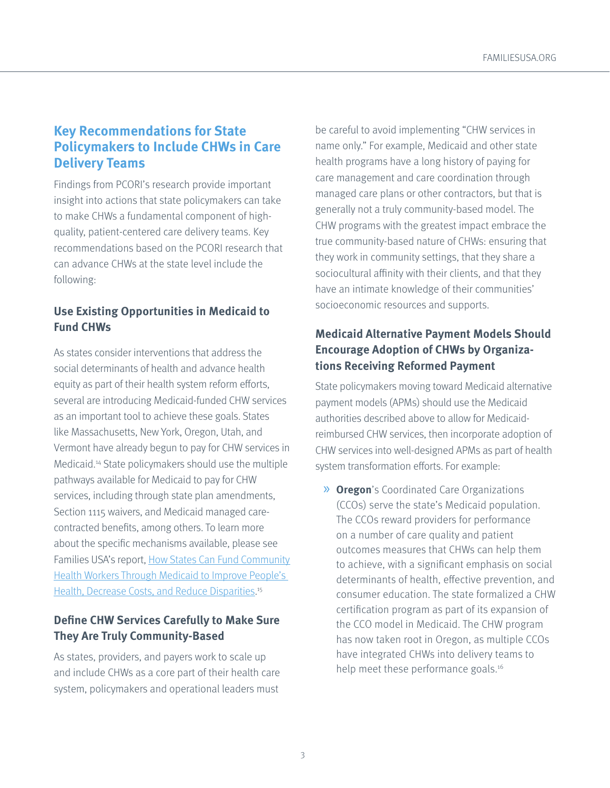# **Key Recommendations for State Policymakers to Include CHWs in Care Delivery Teams**

Findings from PCORI's research provide important insight into actions that state policymakers can take to make CHWs a fundamental component of highquality, patient-centered care delivery teams. Key recommendations based on the PCORI research that can advance CHWs at the state level include the following:

# **Use Existing Opportunities in Medicaid to Fund CHWs**

As states consider interventions that address the social determinants of health and advance health equity as part of their health system reform efforts, several are introducing Medicaid-funded CHW services as an important tool to achieve these goals. States like Massachusetts, New York, Oregon, Utah, and Vermont have already begun to pay for CHW services in Medicaid.14 State policymakers should use the multiple pathways available for Medicaid to pay for CHW services, including through state plan amendments, Section 1115 waivers, and Medicaid managed carecontracted benefits, among others. To learn more about the specific mechanisms available, please see Families USA's report, How States Can Fund Community Health Workers Through Medicaid to Improve People's Health, Decrease Costs, and Reduce Disparities.<sup>15</sup>

### **Define CHW Services Carefully to Make Sure They Are Truly Community-Based**

As states, providers, and payers work to scale up and include CHWs as a core part of their health care system, policymakers and operational leaders must

be careful to avoid implementing "CHW services in name only." For example, Medicaid and other state health programs have a long history of paying for care management and care coordination through managed care plans or other contractors, but that is generally not a truly community-based model. The CHW programs with the greatest impact embrace the true community-based nature of CHWs: ensuring that they work in community settings, that they share a sociocultural affinity with their clients, and that they have an intimate knowledge of their communities' socioeconomic resources and supports.

# **Medicaid Alternative Payment Models Should Encourage Adoption of CHWs by Organizations Receiving Reformed Payment**

State policymakers moving toward Medicaid alternative payment models (APMs) should use the Medicaid authorities described above to allow for Medicaidreimbursed CHW services, then incorporate adoption of CHW services into well-designed APMs as part of health system transformation efforts. For example:

» **Oregon**'s Coordinated Care Organizations (CCOs) serve the state's Medicaid population. The CCOs reward providers for performance on a number of care quality and patient outcomes measures that CHWs can help them to achieve, with a significant emphasis on social determinants of health, effective prevention, and consumer education. The state formalized a CHW certification program as part of its expansion of the CCO model in Medicaid. The CHW program has now taken root in Oregon, as multiple CCOs have integrated CHWs into delivery teams to help meet these performance goals.<sup>16</sup>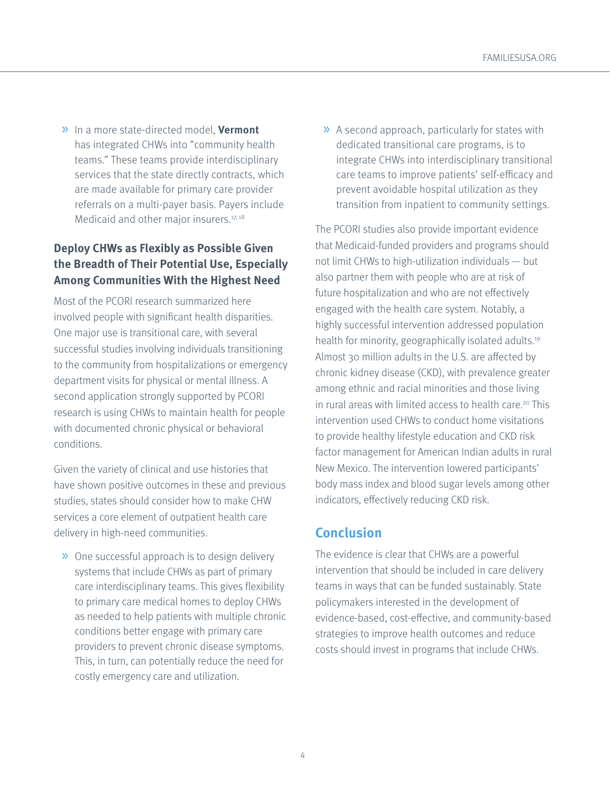» In a more state-directed model, **Vermont** has integrated CHWs into "community health teams." These teams provide interdisciplinary services that the state directly contracts, which are made available for primary care provider referrals on a multi-payer basis. Payers include Medicaid and other major insurers.<sup>17, 18</sup>

# **Deploy CHWs as Flexibly as Possible Given the Breadth of Their Potential Use, Especially Among Communities With the Highest Need**

Most of the PCORI research summarized here involved people with significant health disparities. One major use is transitional care, with several successful studies involving individuals transitioning to the community from hospitalizations or emergency department visits for physical or mental illness. A second application strongly supported by PCORI research is using CHWs to maintain health for people with documented chronic physical or behavioral conditions.

Given the variety of clinical and use histories that have shown positive outcomes in these and previous studies, states should consider how to make CHW services a core element of outpatient health care delivery in high-need communities.

» One successful approach is to design delivery systems that include CHWs as part of primary care interdisciplinary teams. This gives flexibility to primary care medical homes to deploy CHWs as needed to help patients with multiple chronic conditions better engage with primary care providers to prevent chronic disease symptoms. This, in turn, can potentially reduce the need for costly emergency care and utilization.

» A second approach, particularly for states with dedicated transitional care programs, is to integrate CHWs into interdisciplinary transitional care teams to improve patients' self-efficacy and prevent avoidable hospital utilization as they transition from inpatient to community settings.

The PCORI studies also provide important evidence that Medicaid-funded providers and programs should not limit CHWs to high-utilization individuals — but also partner them with people who are at risk of future hospitalization and who are not effectively engaged with the health care system. Notably, a highly successful intervention addressed population health for minority, geographically isolated adults.19 Almost 30 million adults in the U.S. are affected by chronic kidney disease (CKD), with prevalence greater among ethnic and racial minorities and those living in rural areas with limited access to health care.<sup>20</sup> This intervention used CHWs to conduct home visitations to provide healthy lifestyle education and CKD risk factor management for American Indian adults in rural New Mexico. The intervention lowered participants' body mass index and blood sugar levels among other indicators, effectively reducing CKD risk.

# **Conclusion**

The evidence is clear that CHWs are a powerful intervention that should be included in care delivery teams in ways that can be funded sustainably. State policymakers interested in the development of evidence-based, cost-effective, and community-based strategies to improve health outcomes and reduce costs should invest in programs that include CHWs.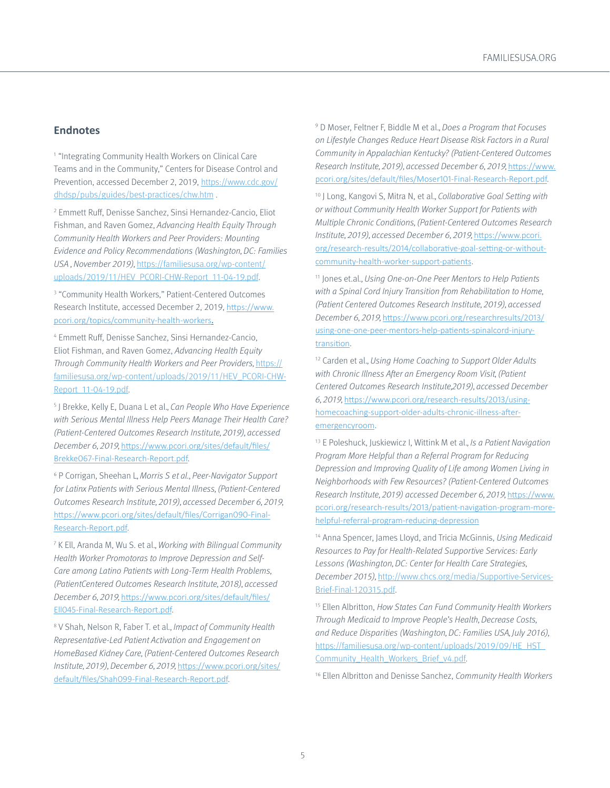#### **Endnotes**

1 "Integrating Community Health Workers on Clinical Care Teams and in the Community," Centers for Disease Control and Prevention, accessed December 2, 2019, https://www.cdc.gov/ dhdsp/pubs/guides/best-practices/chw.htm .

2 Emmett Ruff, Denisse Sanchez, Sinsi Hernandez-Cancio, Eliot Fishman, and Raven Gomez, Advancing Health Equity Through Community Health Workers and Peer Providers: Mounting Evidence and Policy Recommendations (Washington, DC: Families USA , November 2019), https://familiesusa.org/wp-content/ uploads/2019/11/HEV\_PCORI-CHW-Report\_11-04-19.pdf.

<sup>3</sup> "Community Health Workers," Patient-Centered Outcomes Research Institute, accessed December 2, 2019, https://www. pcori.org/topics/community-health-workers.

4 Emmett Ruff, Denisse Sanchez, Sinsi Hernandez-Cancio, Eliot Fishman, and Raven Gomez, Advancing Health Equity Through Community Health Workers and Peer Providers, https:// familiesusa.org/wp-content/uploads/2019/11/HEV\_PCORI-CHW-Report\_11-04-19.pdf.

<sup>5</sup> J Brekke, Kelly E, Duana L et al., Can People Who Have Experience with Serious Mental Illness Help Peers Manage Their Health Care? (Patient-Centered Outcomes Research Institute, 2019), accessed December 6, 2019, https://www.pcori.org/sites/default/files/ Brekke067-Final-Research-Report.pdf.

<sup>6</sup> P Corrigan, Sheehan L, Morris S et al., Peer-Navigator Support for Latinx Patients with Serious Mental Illness, (Patient-Centered Outcomes Research Institute, 2019), accessed December 6, 2019, https://www.pcori.org/sites/default/files/Corrigan090-Final-Research-Report.pdf.

7 K Ell, Aranda M, Wu S. et al., Working with Bilingual Community Health Worker Promotoras to Improve Depression and Self-Care among Latino Patients with Long-Term Health Problems, (PatientCentered Outcomes Research Institute, 2018), accessed December 6, 2019, https://www.pcori.org/sites/default/files/ Ell045-Final-Research-Report.pdf.

<sup>8</sup> V Shah, Nelson R, Faber T. et al., Impact of Community Health Representative-Led Patient Activation and Engagement on HomeBased Kidney Care, (Patient-Centered Outcomes Research Institute, 2019), December 6, 2019, https://www.pcori.org/sites/ default/files/Shah099-Final-Research-Report.pdf.

<sup>9</sup> D Moser, Feltner F, Biddle M et al., Does a Program that Focuses on Lifestyle Changes Reduce Heart Disease Risk Factors in a Rural Community in Appalachian Kentucky? (Patient-Centered Outcomes Research Institute, 2019), accessed December 6, 2019, https://www. pcori.org/sites/default/files/Moser101-Final-Research-Report.pdf.

<sup>10</sup> J Long, Kangovi S, Mitra N, et al., Collaborative Goal Setting with or without Community Health Worker Support for Patients with Multiple Chronic Conditions, (Patient-Centered Outcomes Research Institute, 2019), accessed December 6, 2019, https://www.pcori. org/research-results/2014/collaborative-goal-setting-or-withoutcommunity-health-worker-support-patients.

<sup>11</sup> Jones et.al., Using One-on-One Peer Mentors to Help Patients with a Spinal Cord Injury Transition from Rehabilitation to Home, (Patient Centered Outcomes Research Institute, 2019), accessed December 6, 2019, https://www.pcori.org/researchresults/2013/ using-one-one-peer-mentors-help-patients-spinalcord-injurytransition.

<sup>12</sup> Carden et al., Using Home Coaching to Support Older Adults with Chronic Illness After an Emergency Room Visit, (Patient Centered Outcomes Research Institute,2019), accessed December 6, 2019, https://www.pcori.org/research-results/2013/usinghomecoaching-support-older-adults-chronic-illness-afteremergencyroom.

<sup>13</sup> E Poleshuck, Juskiewicz I, Wittink M et al., *Is a Patient Navigation* Program More Helpful than a Referral Program for Reducing Depression and Improving Quality of Life among Women Living in Neighborhoods with Few Resources? (Patient-Centered Outcomes Research Institute, 2019) accessed December 6, 2019, https://www. pcori.org/research-results/2013/patient-navigation-program-morehelpful-referral-program-reducing-depression

<sup>14</sup> Anna Spencer, James Lloyd, and Tricia McGinnis, Using Medicaid Resources to Pay for Health-Related Supportive Services: Early Lessons (Washington, DC: Center for Health Care Strategies, December 2015), http://www.chcs.org/media/Supportive-Services-Brief-Final-120315.pdf.

<sup>15</sup> Ellen Albritton, How States Can Fund Community Health Workers Through Medicaid to Improve People's Health, Decrease Costs, and Reduce Disparities (Washington, DC: Families USA, July 2016), https://familiesusa.org/wp-content/uploads/2019/09/HE\_HST\_ Community\_Health\_Workers\_Brief\_v4.pdf.

<sup>16</sup> Ellen Albritton and Denisse Sanchez, Community Health Workers